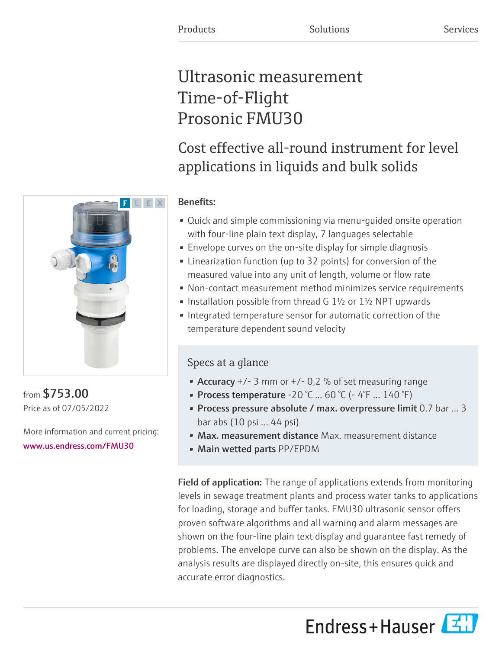# Ultrasonic measurement Time-of-Flight Prosonic FMU30

## Cost effective all-round instrument for level applications in liquids and bulk solids

## Benefits:

- Quick and simple commissioning via menu-guided onsite operation with four-line plain text display, 7 languages selectable
- Envelope curves on the on-site display for simple diagnosis
- Linearization function (up to 32 points) for conversion of the measured value into any unit of length, volume or flow rate
- Non-contact measurement method minimizes service requirements
- Installation possible from thread G 1½ or 1½ NPT upwards
- Integrated temperature sensor for automatic correction of the temperature dependent sound velocity

## Specs at a glance

- Accuracy  $+/- 3$  mm or  $+/- 0.2$  % of set measuring range
- Process temperature  $-20$  °C ... 60 °C ( $-4$ °F ... 140 °F)
- Process pressure absolute / max. overpressure limit 0.7 bar ... 3 bar abs (10 psi ... 44 psi)
- Max. measurement distance Max. measurement distance
- Main wetted parts PP/EPDM

Field of application: The range of applications extends from monitoring levels in sewage treatment plants and process water tanks to applications for loading, storage and buffer tanks. FMU30 ultrasonic sensor offers proven software algorithms and all warning and alarm messages are shown on the four-line plain text display and guarantee fast remedy of problems. The envelope curve can also be shown on the display. As the analysis results are displayed directly on-site, this ensures quick and accurate error diagnostics.

Endress+Hauser



from \$753.00 Price as of 07/05/2022

More information and current pricing: [www.us.endress.com/FMU30](https://www.us.endress.com/FMU30)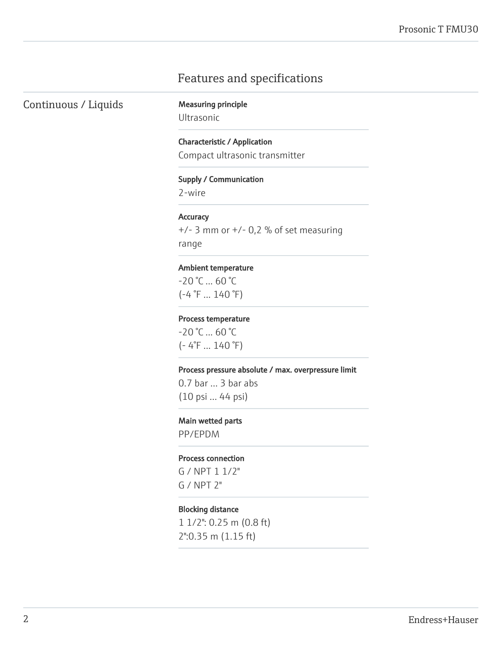## Features and specifications

Continuous / Liquids Measuring principle

Ultrasonic

Characteristic / Application Compact ultrasonic transmitter

#### Supply / Communication

2-wire

#### **Accuracy**

 $+/-$  3 mm or  $+/-$  0,2 % of set measuring range

#### Ambient temperature

 $-20 °C ... 60 °C$  $(-4 \degree F ... 140 \degree F)$ 

#### Process temperature

 $-20$  °C  $... 60$  °C (- 4°F ... 140 °F)

#### Process pressure absolute / max. overpressure limit

0.7 bar ... 3 bar abs (10 psi ... 44 psi)

#### Main wetted parts

PP/EPDM

### Process connection

G / NPT 1 1/2" G / NPT 2"

## Blocking distance

1 1/2": 0.25 m (0.8 ft) 2":0.35 m (1.15 ft)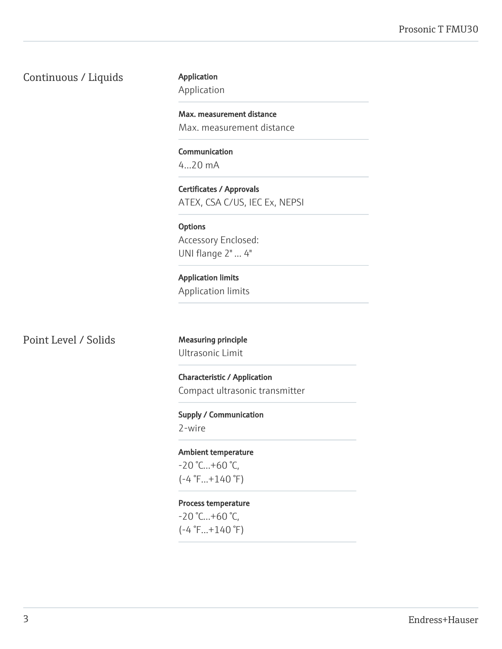Continuous / Liquids

Application

Application

Max. measurement distance Max. measurement distance

Communication 4...20 mA

Certificates / Approvals ATEX, CSA C/US, IEC Ex, NEPSI

**Options** Accessory Enclosed: UNI flange 2" ... 4"

Application limits Application limits

Point Level / Solids Measuring principle

Ultrasonic Limit

Characteristic / Application Compact ultrasonic transmitter

Supply / Communication 2-wire

Ambient temperature  $-20$  °C... $+60$  °C,  $(-4 °F...+140 °F)$ 

Process temperature  $-20$  °C...+60 °C,  $(-4 °F...+140 °F)$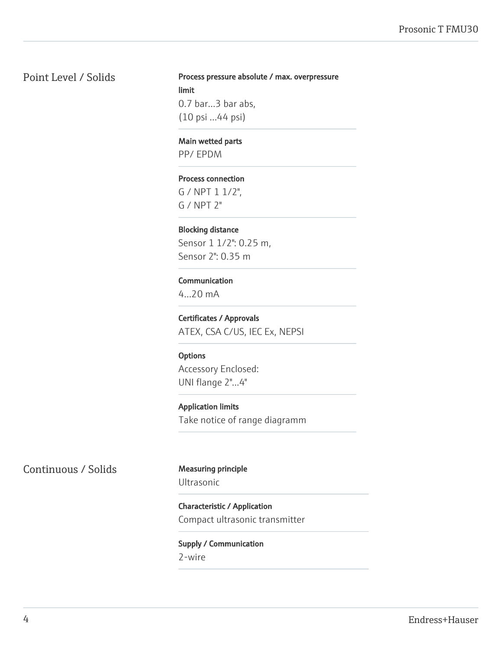## Point Level / Solids

Process pressure absolute / max. overpressure limit 0.7 bar...3 bar abs, (10 psi ...44 psi)

Main wetted parts

PP/ EPDM

#### Process connection

G / NPT 1 1/2", G / NPT 2"

## Blocking distance

Sensor 1 1/2": 0.25 m, Sensor 2": 0.35 m

## Communication

4...20 mA

Certificates / Approvals ATEX, CSA C/US, IEC Ex, NEPSI

## **Options**

Accessory Enclosed: UNI flange 2"...4"

Application limits Take notice of range diagramm

Continuous / Solids Measuring principle

Ultrasonic

Characteristic / Application Compact ultrasonic transmitter

## Supply / Communication

2-wire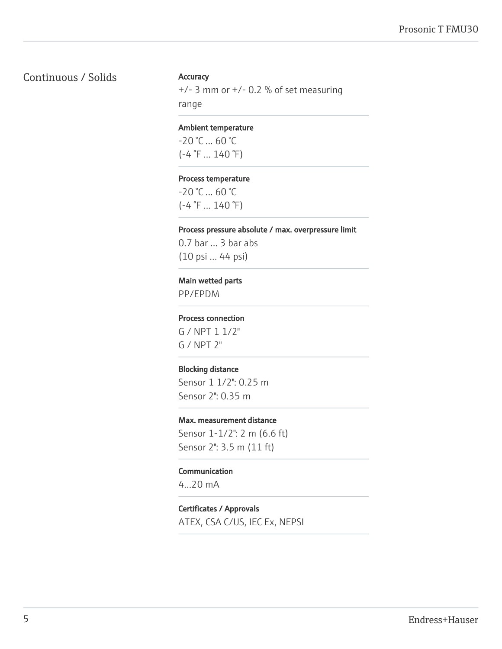## Continuous / Solids

## **Accuracy**

 $+/-$  3 mm or  $+/-$  0.2 % of set measuring range

#### Ambient temperature

 $-20$  °C  $\dots$  60 °C  $(-4 \degree F ... 140 \degree F)$ 

#### Process temperature

 $-20$  °C  $\dots$  60 °C  $(-4 \degree F ... 140 \degree F)$ 

### Process pressure absolute / max. overpressure limit

0.7 bar ... 3 bar abs (10 psi ... 44 psi)

#### Main wetted parts

PP/EPDM

#### Process connection

G / NPT 1 1/2" G / NPT 2"

#### Blocking distance

Sensor 1 1/2": 0.25 m Sensor 2": 0.35 m

### Max. measurement distance

Sensor 1-1/2": 2 m (6.6 ft) Sensor 2": 3.5 m (11 ft)

## Communication

4...20 mA

### Certificates / Approvals

ATEX, CSA C/US, IEC Ex, NEPSI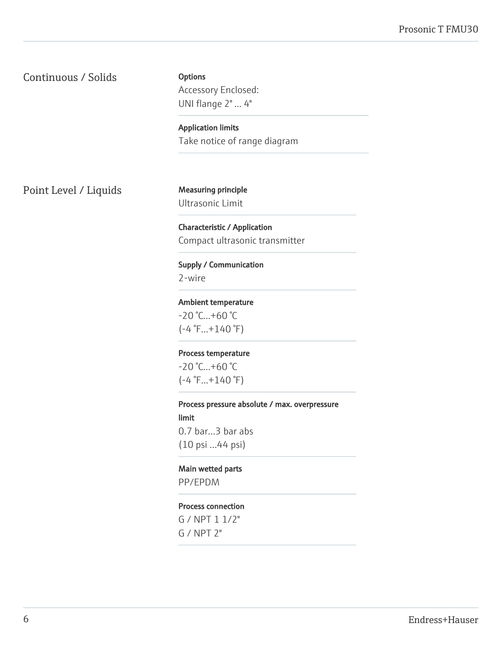Continuous / Solids

**Options** Accessory Enclosed: UNI flange 2" ... 4"

Application limits Take notice of range diagram

Point Level / Liquids Measuring principle

Ultrasonic Limit

Characteristic / Application Compact ultrasonic transmitter

Supply / Communication 2-wire

Ambient temperature -20 °C...+60 °C  $(-4 °F...+140 °F)$ 

Process temperature -20 °C...+60 °C (-4 °F...+140 °F)

Process pressure absolute / max. overpressure limit 0.7 bar...3 bar abs (10 psi ...44 psi)

Main wetted parts PP/EPDM

## Process connection

G / NPT 1 1/2" G / NPT 2"